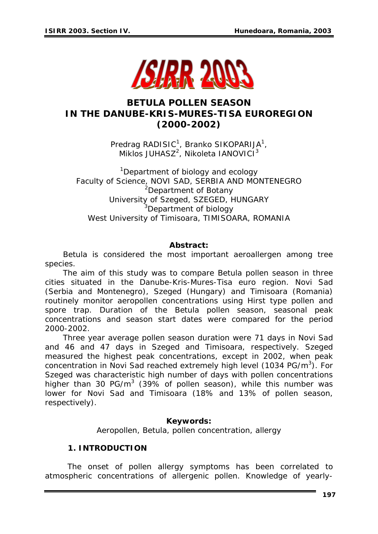

# *BETULA* **POLLEN SEASON IN THE DANUBE-KRIS-MURES-TISA EUROREGION (2000-2002)**

Predrag RADISIC<sup>1</sup>, Branko SIKOPARIJA<sup>1</sup>,  $Miklos JUHASZ<sup>2</sup>, Nikoleta IANOVICI<sup>3</sup>$ 

<sup>1</sup>Department of biology and ecology Faculty of Science, NOVI SAD, SERBIA AND MONTENEGRO <sup>2</sup>Department of Botany University of Szeged, SZEGED, HUNGARY <sup>3</sup>Department of biology West University of Timisoara, TIMISOARA, ROMANIA

## *Abstract:*

*Betula is considered the most important aeroallergen among tree species.* 

*The aim of this study was to compare Betula pollen season in three cities situated in the Danube-Kris-Mures-Tisa euro region. Novi Sad (Serbia and Montenegro), Szeged (Hungary) and Timisoara (Romania) routinely monitor aeropollen concentrations using Hirst type pollen and spore trap. Duration of the Betula pollen season, seasonal peak concentrations and season start dates were compared for the period 2000-2002.* 

*Three year average pollen season duration were 71 days in Novi Sad and 46 and 47 days in Szeged and Timisoara, respectively. Szeged measured the highest peak concentrations, except in 2002, when peak concentration in Novi Sad reached extremely high level (1034 PG/m3 ). For Szeged was characteristic high number of days with pollen concentrations higher than 30 PG/m3 (39% of pollen season), while this number was lower for Novi Sad and Timisoara (18% and 13% of pollen season, respectively).* 

### *Keywords:*

*Aeropollen, Betula, pollen concentration, allergy* 

### **1. INTRODUCTION**

 The onset of pollen allergy symptoms has been correlated to atmospheric concentrations of allergenic pollen. Knowledge of yearly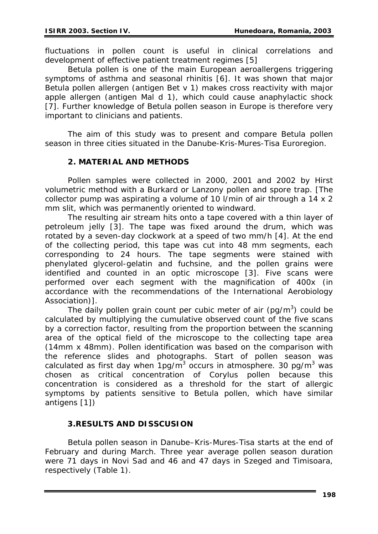fluctuations in pollen count is useful in clinical correlations and development of effective patient treatment regimes [5]

*Betula* pollen is one of the main European aeroallergens triggering symptoms of asthma and seasonal rhinitis [6]. It was shown that major *Betula* pollen allergen (antigen Bet v 1) makes cross reactivity with major apple allergen (antigen Mal d 1), which could cause anaphylactic shock [7]. Further knowledge of *Betula* pollen season in Europe is therefore very important to clinicians and patients.

 The aim of this study was to present and compare *Betula* pollen season in three cities situated in the Danube-Kris-Mures-Tisa Euroregion.

## **2. MATERIAL AND METHODS**

 Pollen samples were collected in 2000, 2001 and 2002 by Hirst volumetric method with a Burkard or Lanzony pollen and spore trap. [The collector pump was aspirating a volume of 10 l/min of air through a 14 x 2 mm slit, which was permanently oriented to windward.

The resulting air stream hits onto a tape covered with a thin layer of petroleum jelly [3]. The tape was fixed around the drum, which was rotated by a seven-day clockwork at a speed of two mm/h [4]. At the end of the collecting period, this tape was cut into 48 mm segments, each corresponding to 24 hours. The tape segments were stained with phenylated glycerol-gelatin and fuchsine, and the pollen grains were identified and counted in an optic microscope [3]. Five scans were performed over each segment with the magnification of 400x (in accordance with the recommendations of the International Aerobiology Association)].

The daily pollen grain count per cubic meter of air ( $pg/m<sup>3</sup>$ ) could be calculated by multiplying the cumulative observed count of the five scans by a correction factor, resulting from the proportion between the scanning area of the optical field of the microscope to the collecting tape area (14mm x 48mm). Pollen identification was based on the comparison with the reference slides and photographs. Start of pollen season was calculated as first day when  $1pg/m<sup>3</sup>$  occurs in atmosphere. 30 pg/m<sup>3</sup> was chosen as critical concentration of *Corylus* pollen because this concentration is considered as a threshold for the start of allergic symptoms by patients sensitive to *Betula* pollen, which have similar antigens [1])

## **3.RESULTS AND DISSCUSION**

 *Betula* pollen season in Danube–Kris-Mures-Tisa starts at the end of February and during March. Three year average pollen season duration were 71 days in Novi Sad and 46 and 47 days in Szeged and Timisoara, respectively (Table 1).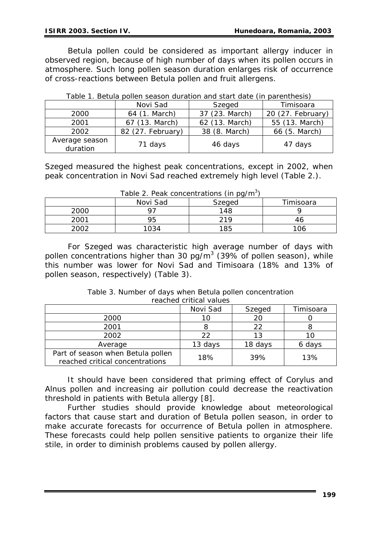*Betula* pollen could be considered as important allergy inducer in observed region, because of high number of days when its pollen occurs in atmosphere. Such long pollen season duration enlarges risk of occurrence of cross-reactions between *Betula* pollen and fruit allergens.

|                            | Novi Sad          | Szeged         | Timisoara         |
|----------------------------|-------------------|----------------|-------------------|
| 2000                       | 64 (1. March)     | 37 (23. March) | 20 (27. February) |
| 2001                       | 67 (13. March)    | 62 (13. March) | 55 (13. March)    |
| 2002                       | 82 (27. February) | 38 (8. March)  | 66 (5. March)     |
| Average season<br>duration | 71 days           | 46 days        | 47 days           |

|  |  |  |  | Table 1. Betula pollen season duration and start date (in parenthesis) |
|--|--|--|--|------------------------------------------------------------------------|
|  |  |  |  |                                                                        |

Szeged measured the highest peak concentrations, except in 2002, when peak concentration in Novi Sad reached extremely high level (Table 2.).

| $1000$ $\le$ , $1$ can concentrations (in partition |          |        |           |  |  |  |
|-----------------------------------------------------|----------|--------|-----------|--|--|--|
|                                                     | Novi Sad | Szeged | Timisoara |  |  |  |
| 2000                                                |          | 148    |           |  |  |  |
| 2001                                                | 95       | 219    |           |  |  |  |
| 2002                                                | 1034     | 185    | 106       |  |  |  |

*Table 2. Peak concentrations (in pg/m3 )* 

For Szeged was characteristic high average number of days with pollen concentrations higher than 30  $pg/m<sup>3</sup>$  (39% of pollen season), while this number was lower for Novi Sad and Timisoara (18% and 13% of pollen season, respectively) (Table 3).

| Table 3. Number of days when Betula pollen concentration |
|----------------------------------------------------------|
| reached critical values                                  |
|                                                          |

|                                                                      | Novi Sad | Szeged  | Timisoara |
|----------------------------------------------------------------------|----------|---------|-----------|
| 2000                                                                 |          | 20      |           |
| 2001                                                                 |          | フフ      |           |
| 2002                                                                 | つつ       | 13      |           |
| Average                                                              | 13 days  | 18 days | 6 days    |
| Part of season when Betula pollen<br>reached critical concentrations | 18%      | 39%     | 13%       |

It should have been considered that priming effect of *Corylus* and *Alnus* pollen and increasing air pollution could decrease the reactivation threshold in patients with *Betula* allergy [8].

 Further studies should provide knowledge about meteorological factors that cause start and duration of *Betula* pollen season, in order to make accurate forecasts for occurrence of *Betula* pollen in atmosphere. These forecasts could help pollen sensitive patients to organize their life stile, in order to diminish problems caused by pollen allergy.